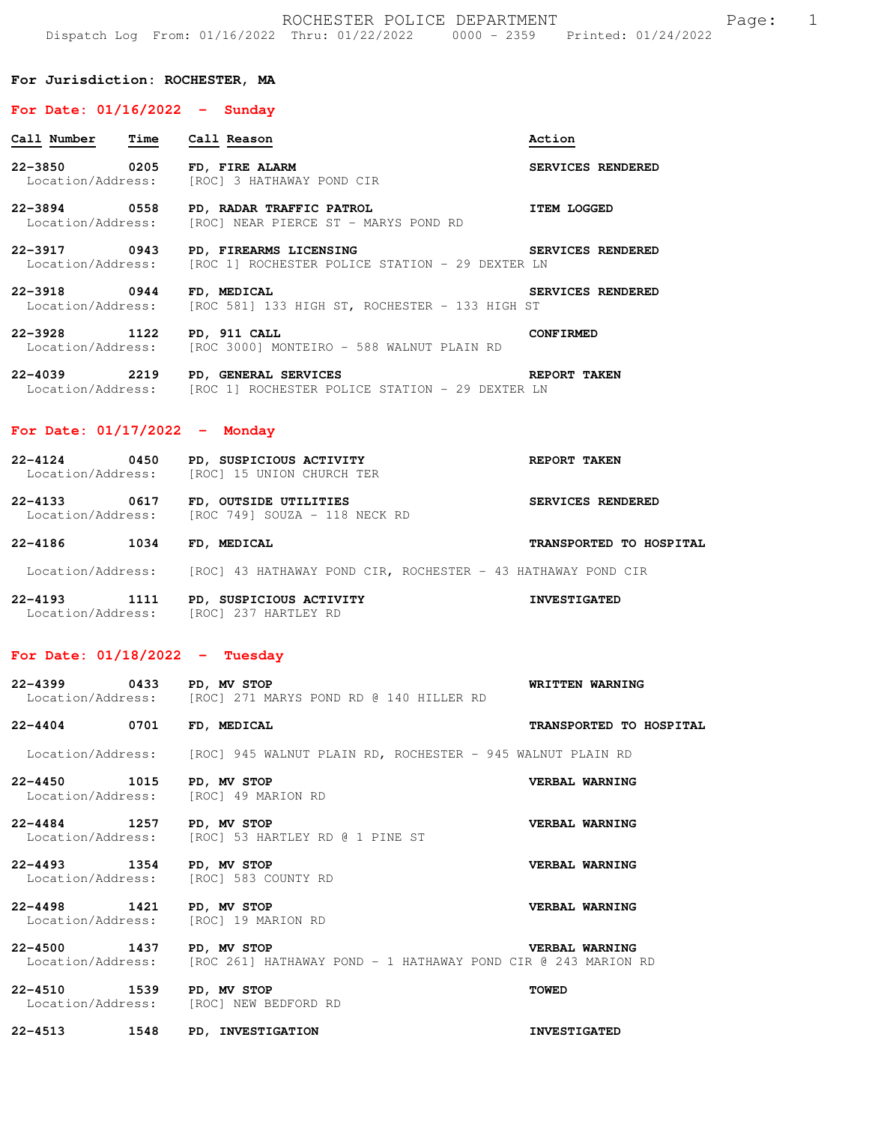#### **For Jurisdiction: ROCHESTER, MA**

#### **For Date: 01/16/2022 - Sunday**

| Call Number<br>Time                      | Call Reason                                                               | Action             |
|------------------------------------------|---------------------------------------------------------------------------|--------------------|
| 0205<br>$22 - 3850$<br>Location/Address: | FD, FIRE ALARM<br>[ROC] 3 HATHAWAY POND CIR                               | SERVICES RENDERED  |
| $22 - 3894$<br>0558<br>Location/Address: | PD, RADAR TRAFFIC PATROL<br>[ROC] NEAR PIERCE ST - MARYS POND RD          | <b>ITEM LOGGED</b> |
| $22 - 3917$<br>0943<br>Location/Address: | PD, FIREARMS LICENSING<br>[ROC 1] ROCHESTER POLICE STATION - 29 DEXTER LN | SERVICES RENDERED  |
| $22 - 3918$<br>0944<br>Location/Address: | FD, MEDICAL<br>[ROC 581] 133 HIGH ST, ROCHESTER - 133 HIGH ST             | SERVICES RENDERED  |
| $22 - 3928$<br>1122<br>Location/Address: | PD, 911 CALL<br>[ROC 3000] MONTEIRO - 588 WALNUT PLAIN RD                 | <b>CONFIRMED</b>   |

| $22 - 4039$       | 2219 |  | PD, GENERAL SERVICES |                                                 |  | REPORT TAKEN |  |
|-------------------|------|--|----------------------|-------------------------------------------------|--|--------------|--|
| Location/Address: |      |  |                      | [ROC 1] ROCHESTER POLICE STATION - 29 DEXTER LN |  |              |  |

### **For Date: 01/17/2022 - Monday**

| $22 - 4124$       | 0450 | PD, SUSPICIOUS ACTIVITY   | REPORT TAKEN |
|-------------------|------|---------------------------|--------------|
| Location/Address: |      | [ROC] 15 UNION CHURCH TER |              |

- **22-4133 0617 FD, OUTSIDE UTILITIES SERVICES RENDERED**  Location/Address: [ROC 749] SOUZA - 118 NECK RD
- **22-4186 1034 FD, MEDICAL TRANSPORTED TO HOSPITAL**
- Location/Address: [ROC] 43 HATHAWAY POND CIR, ROCHESTER 43 HATHAWAY POND CIR

**22-4193 1111 PD, SUSPICIOUS ACTIVITY INVESTIGATED**  Location/Address: [ROC] 237 HARTLEY RD

#### **For Date: 01/18/2022 - Tuesday**

| 22-4399 0433 PD, MV STOP                                         | Location/Address: [ROC] 271 MARYS POND RD @ 140 HILLER RD                                      | WRITTEN WARNING         |
|------------------------------------------------------------------|------------------------------------------------------------------------------------------------|-------------------------|
| 22-4404 0701                                                     | FD, MEDICAL                                                                                    | TRANSPORTED TO HOSPITAL |
|                                                                  | Location/Address: [ROC] 945 WALNUT PLAIN RD, ROCHESTER - 945 WALNUT PLAIN RD                   |                         |
| 22-4450 1015 PD, MV STOP<br>Location/Address: [ROC] 49 MARION RD |                                                                                                | VERBAL WARNING          |
| 22-4484 1257                                                     | PD, MV STOP<br>Location/Address: [ROC] 53 HARTLEY RD @ 1 PINE ST                               | VERBAL WARNING          |
| 22-4493 1354 PD, MV STOP                                         | Location/Address: [ROC] 583 COUNTY RD                                                          | VERBAL WARNING          |
| 22-4498 1421 PD, MV STOP<br>Location/Address: [ROC] 19 MARION RD |                                                                                                | VERBAL WARNING          |
| 22-4500 1437                                                     | PD, MV STOP<br>Location/Address: [ROC 261] HATHAWAY POND - 1 HATHAWAY POND CIR @ 243 MARION RD | <b>VERBAL WARNING</b>   |
| 22-4510 1539 PD, MV STOP                                         | Location/Address: [ROC] NEW BEDFORD RD                                                         | <b>TOWED</b>            |

**22-4513 1548 PD, INVESTIGATION INVESTIGATED**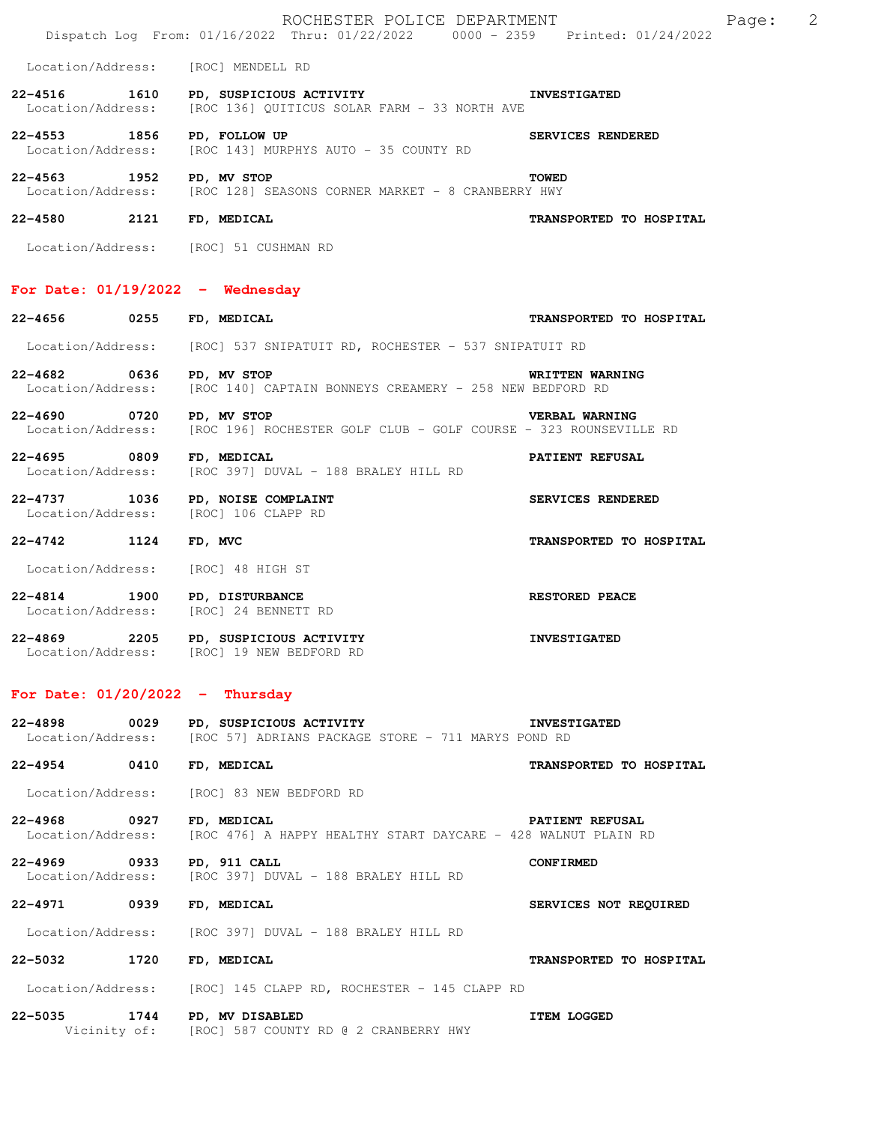|                                   | ROCHESTER POLICE DEPARTMENT<br>Dispatch Log From: 01/16/2022 Thru: 01/22/2022 0000 - 2359 Printed: 01/24/2022           |                          | Page: | 2 |
|-----------------------------------|-------------------------------------------------------------------------------------------------------------------------|--------------------------|-------|---|
|                                   | Location/Address: [ROC] MENDELL RD                                                                                      |                          |       |   |
|                                   | 22-4516 1610 PD, SUSPICIOUS ACTIVITY THE INVESTIGATED<br>Location/Address: [ROC 136] QUITICUS SOLAR FARM - 33 NORTH AVE |                          |       |   |
| 22-4553 1856                      | PD, FOLLOW UP<br>Location/Address: [ROC 143] MURPHYS AUTO - 35 COUNTY RD                                                | <b>SERVICES RENDERED</b> |       |   |
| 22-4563 1952 PD, MV STOP          | Location/Address: [ROC 128] SEASONS CORNER MARKET - 8 CRANBERRY HWY                                                     | <b>TOWED</b>             |       |   |
| 22-4580 2121 FD, MEDICAL          |                                                                                                                         | TRANSPORTED TO HOSPITAL  |       |   |
|                                   | Location/Address: [ROC] 51 CUSHMAN RD                                                                                   |                          |       |   |
|                                   | For Date: $01/19/2022 -$ Wednesday                                                                                      |                          |       |   |
| 22-4656 0255                      | FD, MEDICAL                                                                                                             | TRANSPORTED TO HOSPITAL  |       |   |
|                                   | Location/Address: [ROC] 537 SNIPATUIT RD, ROCHESTER - 537 SNIPATUIT RD                                                  |                          |       |   |
| 22-4682 0636 PD, MV STOP          | Location/Address: [ROC 140] CAPTAIN BONNEYS CREAMERY - 258 NEW BEDFORD RD                                               | WRITTEN WARNING          |       |   |
| 22-4690 0720 PD, MV STOP          | Location/Address: [ROC 196] ROCHESTER GOLF CLUB - GOLF COURSE - 323 ROUNSEVILLE RD                                      | VERBAL WARNING           |       |   |
| 22-4695 0809                      | FD, MEDICAL<br>Location/Address: [ROC 397] DUVAL - 188 BRALEY HILL RD                                                   | PATIENT REFUSAL          |       |   |
|                                   | 22-4737 1036 PD, NOISE COMPLAINT<br>Location/Address: [ROC] 106 CLAPP RD                                                | SERVICES RENDERED        |       |   |
| $22 - 4742$ 1124                  | FD, MVC                                                                                                                 | TRANSPORTED TO HOSPITAL  |       |   |
|                                   | Location/Address: [ROC] 48 HIGH ST                                                                                      |                          |       |   |
| 22-4814 1900                      | <b>PD, DISTURBANCE</b><br>Location/Address: [ROC] 24 BENNETT RD                                                         | <b>RESTORED PEACE</b>    |       |   |
| 22-4869 2205                      | PD, SUSPICIOUS ACTIVITY<br>Location/Address: [ROC] 19 NEW BEDFORD RD                                                    | <b>INVESTIGATED</b>      |       |   |
| For Date: $01/20/2022 - Thursday$ |                                                                                                                         |                          |       |   |
| $22 - 4898$<br>0029               | PD, SUSPICIOUS ACTIVITY<br>Location/Address: [ROC 57] ADRIANS PACKAGE STORE - 711 MARYS POND RD                         | <b>INVESTIGATED</b>      |       |   |
| $22 - 4954$<br>0410               | FD, MEDICAL                                                                                                             | TRANSPORTED TO HOSPITAL  |       |   |
| Location/Address:                 | [ROC] 83 NEW BEDFORD RD                                                                                                 |                          |       |   |
| 22-4968 0927<br>Location/Address: | FD, MEDICAL<br>[ROC 476] A HAPPY HEALTHY START DAYCARE - 428 WALNUT PLAIN RD                                            | PATIENT REFUSAL          |       |   |
| 22-4969 0933<br>Location/Address: | PD, 911 CALL<br>[ROC 397] DUVAL - 188 BRALEY HILL RD                                                                    | <b>CONFIRMED</b>         |       |   |
| 22-4971<br>0939                   | FD, MEDICAL                                                                                                             | SERVICES NOT REQUIRED    |       |   |
| Location/Address:                 | [ROC 397] DUVAL - 188 BRALEY HILL RD                                                                                    |                          |       |   |
| 22-5032<br>1720                   | FD, MEDICAL                                                                                                             | TRANSPORTED TO HOSPITAL  |       |   |
| Location/Address:                 | $[ROC]$ 145 CLAPP RD, ROCHESTER - 145 CLAPP RD                                                                          |                          |       |   |
| 22–5035 1744                      | PD, MV DISABLED<br>Vicinity of: [ROC] 587 COUNTY RD @ 2 CRANBERRY HWY                                                   | <b>ITEM LOGGED</b>       |       |   |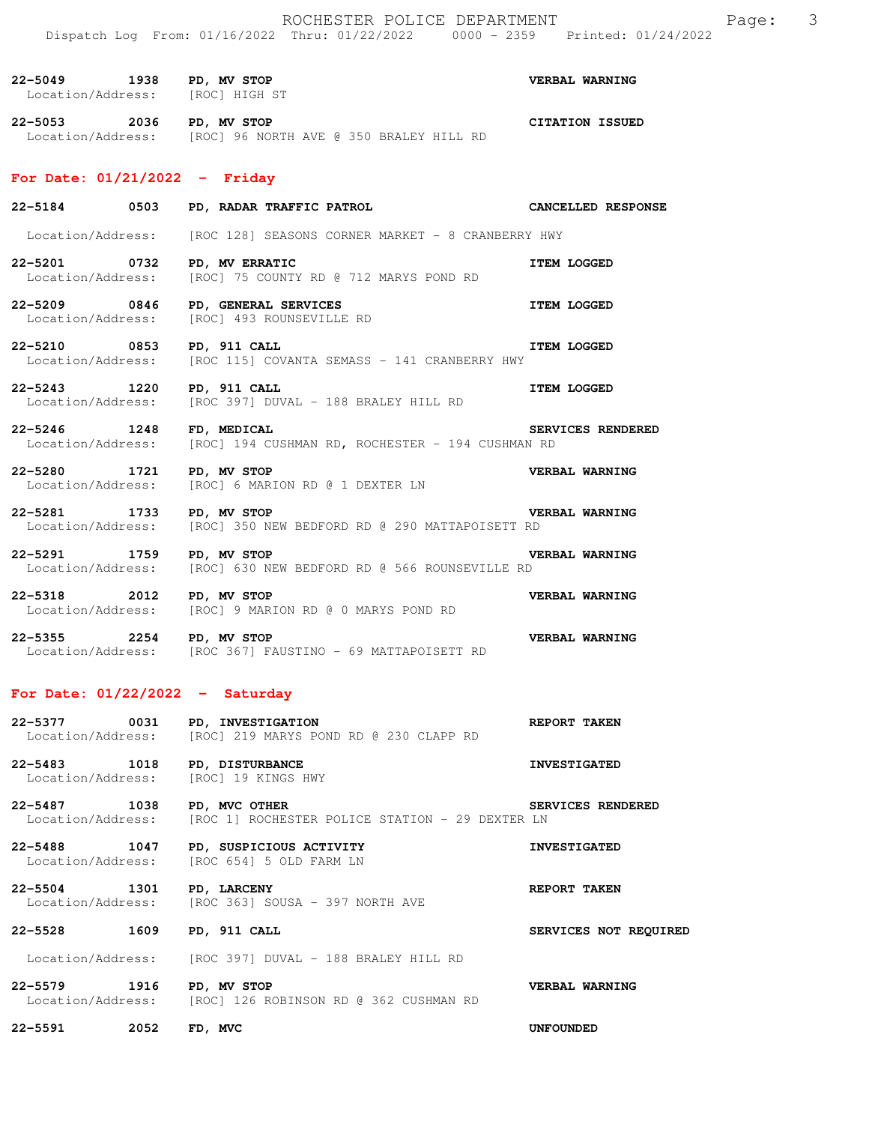| $22 - 5049$ | 1938 | PD, MV STOP                     | VERBAL WARNING         |
|-------------|------|---------------------------------|------------------------|
|             |      | Location/Address: [ROC] HIGH ST |                        |
| $22 - 5053$ | 2036 | PD, MV STOP                     | <b>CITATION ISSUED</b> |

Location/Address: [ROC] 96 NORTH AVE @ 350 BRALEY HILL RD

# **For Date: 01/21/2022 - Friday**

|                             | 22-5184 0503 PD, RADAR TRAFFIC PATROL CANCELLED RESPONSE                                 |                          |
|-----------------------------|------------------------------------------------------------------------------------------|--------------------------|
|                             | Location/Address: [ROC 128] SEASONS CORNER MARKET - 8 CRANBERRY HWY                      |                          |
| 22-5201 0732 PD, MV ERRATIC | Location/Address: [ROC] 75 COUNTY RD @ 712 MARYS POND RD                                 | <b>ITEM LOGGED</b>       |
|                             | 22-5209 0846 PD, GENERAL SERVICES<br>Location/Address: [ROC] 493 ROUNSEVILLE RD          | <b>ITEM LOGGED</b>       |
| 22-5210 0853 PD, 911 CALL   | <b>ITEM LOGGED</b><br>Location/Address: [ROC 115] COVANTA SEMASS - 141 CRANBERRY HWY     |                          |
| 22-5243 1220 PD, 911 CALL   | Location/Address: [ROC 397] DUVAL - 188 BRALEY HILL RD                                   | <b>ITEM LOGGED</b>       |
| 22-5246 1248 FD, MEDICAL    | Location/Address: [ROC] 194 CUSHMAN RD, ROCHESTER - 194 CUSHMAN RD                       | <b>SERVICES RENDERED</b> |
| 22-5280 1721 PD, MV STOP    | Location/Address: [ROC] 6 MARION RD @ 1 DEXTER LN                                        | <b>VERBAL WARNING</b>    |
| 22-5281 1733 PD, MV STOP    | Location/Address: [ROC] 350 NEW BEDFORD RD @ 290 MATTAPOISETT RD                         | <b>VERBAL WARNING</b>    |
| 22-5291 1759 PD, MV STOP    | <b>VERBAL WARNING</b><br>Location/Address: [ROC] 630 NEW BEDFORD RD @ 566 ROUNSEVILLE RD |                          |
| 22-5318 2012 PD, MV STOP    | Location/Address: [ROC] 9 MARION RD @ 0 MARYS POND RD                                    | <b>VERBAL WARNING</b>    |
| 22-5355 2254 PD, MV STOP    | Location/Address: [ROC 367] FAUSTINO - 69 MATTAPOISETT RD                                | VERBAL WARNING           |

# **For Date: 01/22/2022 - Saturday**

| $22 - 5377$       | 0031 | PD, INVESTIGATION                      | REPORT TAKEN |
|-------------------|------|----------------------------------------|--------------|
| Location/Address: |      | [ROC] 219 MARYS POND RD @ 230 CLAPP RD |              |

- **22-5483 1018 PD, DISTURBANCE INVESTIGATED**  Location/Address: [ROC] 19 KINGS HWY
- **22-5487 1038 PD, MVC OTHER SERVICES RENDERED**  Location/Address: [ROC 1] ROCHESTER POLICE STATION - 29 DEXTER LN
- **22-5488 1047 PD, SUSPICIOUS ACTIVITY INVESTIGATED**  Location/Address: [ROC 654] 5 OLD FARM LN
- **22-5504 1301 PD, LARCENY REPORT TAKEN**  Location/Address: [ROC 363] SOUSA - 397 NORTH AVE
- **22-5528 1609 PD, 911 CALL SERVICES NOT REQUIRED**  Location/Address: [ROC 397] DUVAL - 188 BRALEY HILL RD
- **22-5579 1916 PD, MV STOP VERBAL WARNING**  Location/Address: [ROC] 126 ROBINSON RD @ 362 CUSHMAN RD
- **22-5591 2052 FD, MVC UNFOUNDED**
- 
- 
- 
-